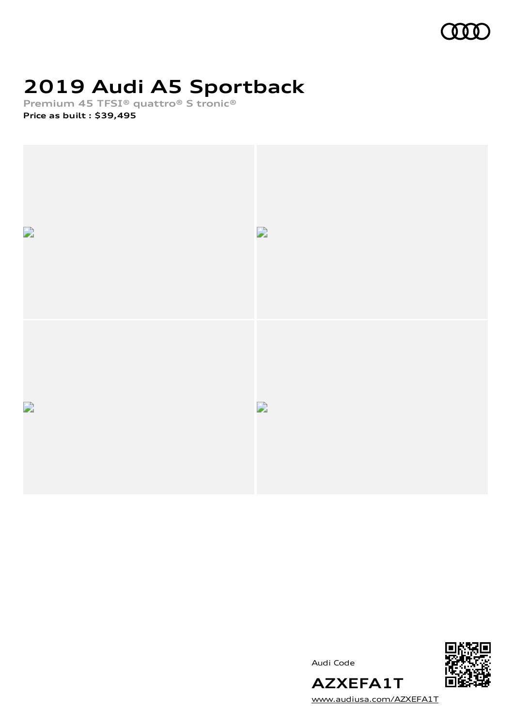

# **2019 Audi A5 Sportback**

**Premium 45 TFSI® quattro® S tronic®**

**Price as built [:](#page-10-0) \$39,495**



Audi Code



[www.audiusa.com/AZXEFA1T](https://www.audiusa.com/AZXEFA1T)

**AZXEFA1T**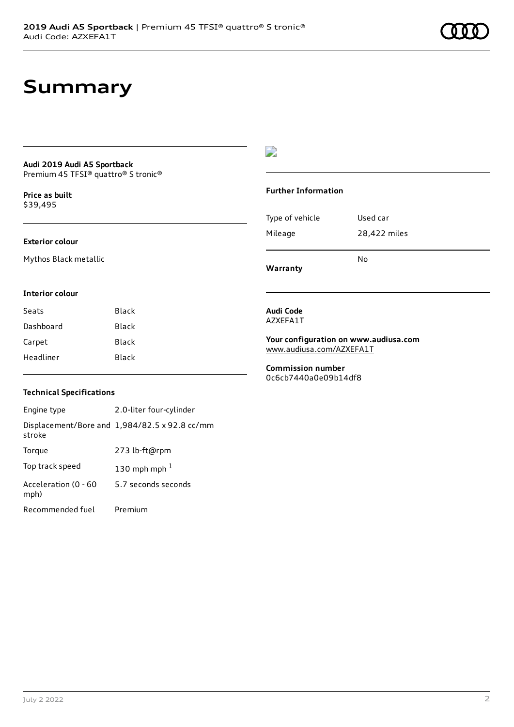# **Summary**

### **Audi 2019 Audi A5 Sportback** Premium 45 TFSI® quattro® S tronic®

**Price as buil[t](#page-10-0)** \$39,495

#### **Exterior colour**

Mythos Black metallic

### $\overline{\phantom{a}}$

#### **Further Information**

|                 | N٥           |
|-----------------|--------------|
| Mileage         | 28,422 miles |
| Type of vehicle | Used car     |

**Warranty**

#### **Interior colour**

| Seats     | Black |
|-----------|-------|
| Dashboard | Black |
| Carpet    | Black |
| Headliner | Black |

#### **Audi Code** AZXEFA1T

**Your configuration on www.audiusa.com** [www.audiusa.com/AZXEFA1T](https://www.audiusa.com/AZXEFA1T)

**Commission number** 0c6cb7440a0e09b14df8

### **Technical Specifications**

| Engine type                  | 2.0-liter four-cylinder                       |
|------------------------------|-----------------------------------------------|
| stroke                       | Displacement/Bore and 1,984/82.5 x 92.8 cc/mm |
| Torque                       | 273 lb-ft@rpm                                 |
| Top track speed              | 130 mph mph $1$                               |
| Acceleration (0 - 60<br>mph) | 5.7 seconds seconds                           |
| Recommended fuel             | Premium                                       |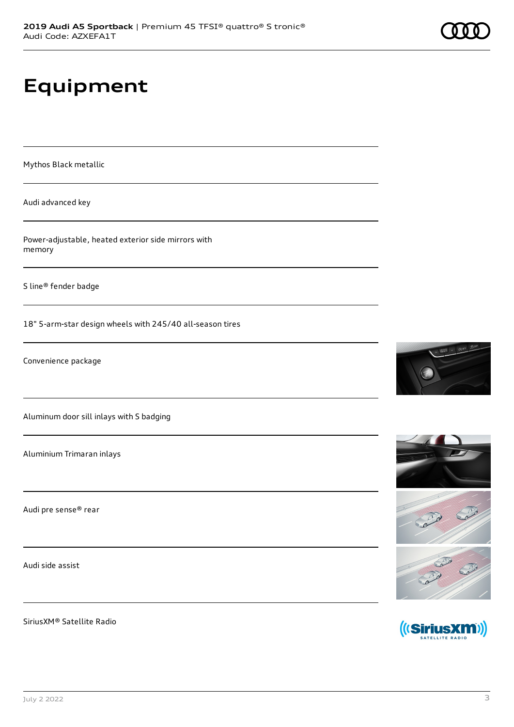# **Equipment**

Mythos Black metallic

Audi advanced key

Power-adjustable, heated exterior side mirrors with memory

S line® fender badge

18" 5-arm-star design wheels with 245/40 all-season tires

Convenience package

Aluminum door sill inlays with S badging

Aluminium Trimaran inlays

Audi pre sense® rear

Audi side assist

SiriusXM® Satellite Radio





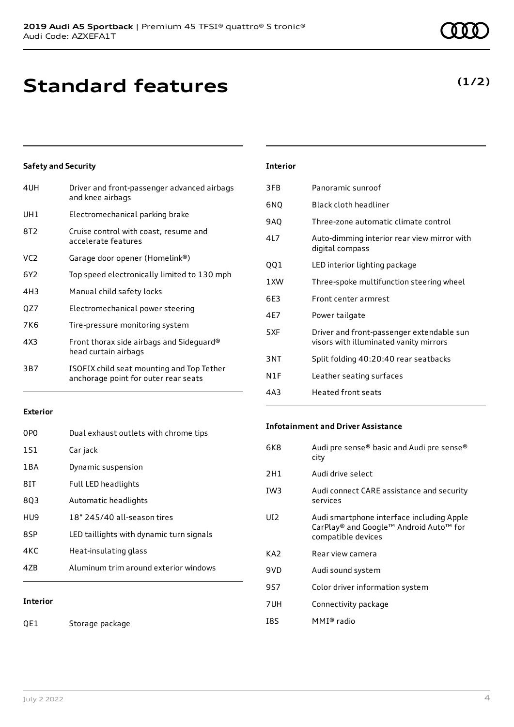# **Standard features**

### **Safety and Security**

| Driver and front-passenger advanced airbags<br>and knee airbags                   |
|-----------------------------------------------------------------------------------|
| Electromechanical parking brake                                                   |
| Cruise control with coast, resume and<br>accelerate features                      |
| Garage door opener (Homelink®)                                                    |
| Top speed electronically limited to 130 mph                                       |
| Manual child safety locks                                                         |
| Electromechanical power steering                                                  |
| Tire-pressure monitoring system                                                   |
| Front thorax side airbags and Sideguard®<br>head curtain airbags                  |
| ISOFIX child seat mounting and Top Tether<br>anchorage point for outer rear seats |
|                                                                                   |

### **Exterior**

| <b>Interior</b> |                                          |
|-----------------|------------------------------------------|
| 47B             | Aluminum trim around exterior windows    |
| 4KC             | Heat-insulating glass                    |
| 8SP             | LED taillights with dynamic turn signals |
| HU9             | 18" 245/40 all-season tires              |
| 803             | Automatic headlights                     |
| 8IT             | Full LED headlights                      |
| 1 B A           | Dynamic suspension                       |
| 1S1             | Car jack                                 |
| 0PO             | Dual exhaust outlets with chrome tips    |

### QE1 Storage package

| Interior |
|----------|
|----------|

| 3FB  | Panoramic sunroof                                                                   |
|------|-------------------------------------------------------------------------------------|
| 6NQ  | Black cloth headliner                                                               |
| 9AQ  | Three-zone automatic climate control                                                |
| 41 7 | Auto-dimming interior rear view mirror with<br>digital compass                      |
| QQ1  | LED interior lighting package                                                       |
| 1 XW | Three-spoke multifunction steering wheel                                            |
| 6E3  | Front center armrest                                                                |
| 4E7  | Power tailgate                                                                      |
| 5XF  | Driver and front-passenger extendable sun<br>visors with illuminated vanity mirrors |
| 3NT  | Split folding 40:20:40 rear seatbacks                                               |
| N1F  | Leather seating surfaces                                                            |
| 4A3  | Heated front seats                                                                  |

### **Infotainment and Driver Assistance**

| 6K8 | Audi pre sense® basic and Audi pre sense®<br>city                                                         |
|-----|-----------------------------------------------------------------------------------------------------------|
| 2H1 | Audi drive select                                                                                         |
| IW3 | Audi connect CARE assistance and security<br>services                                                     |
| UI2 | Audi smartphone interface including Apple<br>CarPlay® and Google™ Android Auto™ for<br>compatible devices |
| KA2 | Rear view camera                                                                                          |
| 9VD | Audi sound system                                                                                         |
| 9S7 | Color driver information system                                                                           |
| 7UH | Connectivity package                                                                                      |
| I8S | MMI® radio                                                                                                |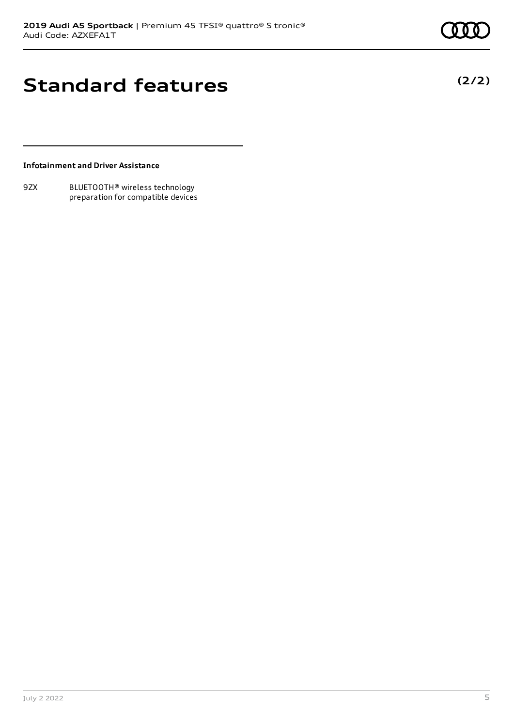**(2/2)**

## **Standard features**

### **Infotainment and Driver Assistance**

9ZX BLUETOOTH® wireless technology preparation for compatible devices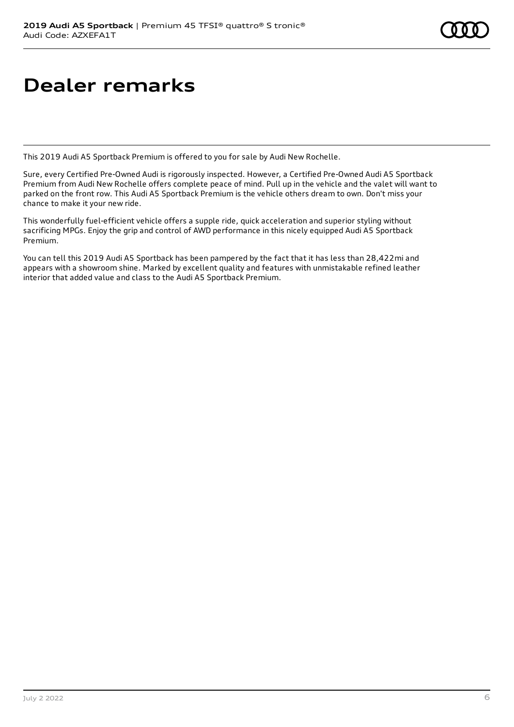# **Dealer remarks**

This 2019 Audi A5 Sportback Premium is offered to you for sale by Audi New Rochelle.

Sure, every Certified Pre-Owned Audi is rigorously inspected. However, a Certified Pre-Owned Audi A5 Sportback Premium from Audi New Rochelle offers complete peace of mind. Pull up in the vehicle and the valet will want to parked on the front row. This Audi A5 Sportback Premium is the vehicle others dream to own. Don't miss your chance to make it your new ride.

This wonderfully fuel-efficient vehicle offers a supple ride, quick acceleration and superior styling without sacrificing MPGs. Enjoy the grip and control of AWD performance in this nicely equipped Audi A5 Sportback Premium.

You can tell this 2019 Audi A5 Sportback has been pampered by the fact that it has less than 28,422mi and appears with a showroom shine. Marked by excellent quality and features with unmistakable refined leather interior that added value and class to the Audi A5 Sportback Premium.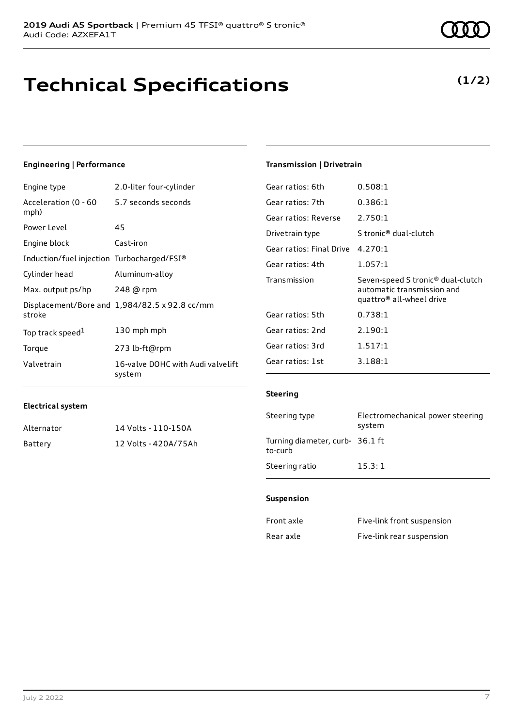# **Technical Specifications**

July 2 2022 7

### **Engineering | Performance**

Engine type 2.0-liter four-cylinder

| Acceleration (0 - 60 5.7 seconds seconds<br>mph) |                                               |
|--------------------------------------------------|-----------------------------------------------|
| Power Level                                      | 45                                            |
| Engine block                                     | Cast-iron                                     |
| Induction/fuel injection Turbocharged/FSI®       |                                               |
| Cylinder head                                    | Aluminum-alloy                                |
| Max. output ps/hp                                | 248 @ rpm                                     |
| stroke                                           | Displacement/Bore and 1,984/82.5 x 92.8 cc/mm |
| Top track speed <sup>1</sup>                     | 130 mph mph                                   |
| Torque                                           | 273 lb-ft@rpm                                 |
| Valvetrain                                       | 16-valve DOHC with Audi valvelift<br>system   |

### **Transmission | Drivetrain**

| Gear ratios: 6th         | 0.508:1                                                                                                             |
|--------------------------|---------------------------------------------------------------------------------------------------------------------|
| Gear ratios: 7th         | 0.386:1                                                                                                             |
| Gear ratios: Reverse     | 2.750:1                                                                                                             |
| Drivetrain type          | S tronic <sup>®</sup> dual-clutch                                                                                   |
| Gear ratios: Final Drive | 4.270:1                                                                                                             |
| Gear ratios: 4th         | 1.057:1                                                                                                             |
|                          |                                                                                                                     |
| Transmission             | Seven-speed S tronic <sup>®</sup> dual-clutch<br>automatic transmission and<br>quattro <sup>®</sup> all-wheel drive |
| Gear ratios: 5th         | 0.738:1                                                                                                             |
| Gear ratios: 2nd         | 2.190:1                                                                                                             |
| Gear ratios: 3rd         | 1.517:1                                                                                                             |
| Gear ratios: 1st         | 3.188:1                                                                                                             |

### **Electrical system**

| Alternator | 14 Volts - 110-150A  |
|------------|----------------------|
| Battery    | 12 Volts - 420A/75Ah |

### Steering type Electromechanical power steering

| seeching cipe                              | Etect: 01110 channed t power becching<br>system |
|--------------------------------------------|-------------------------------------------------|
| Turning diameter, curb- 36.1 ft<br>to-curb |                                                 |
| Steering ratio                             | 15.3:1                                          |

### **Suspension**

**Steering**

| Front axle | Five-link front suspension |
|------------|----------------------------|
| Rear axle  | Five-link rear suspension  |

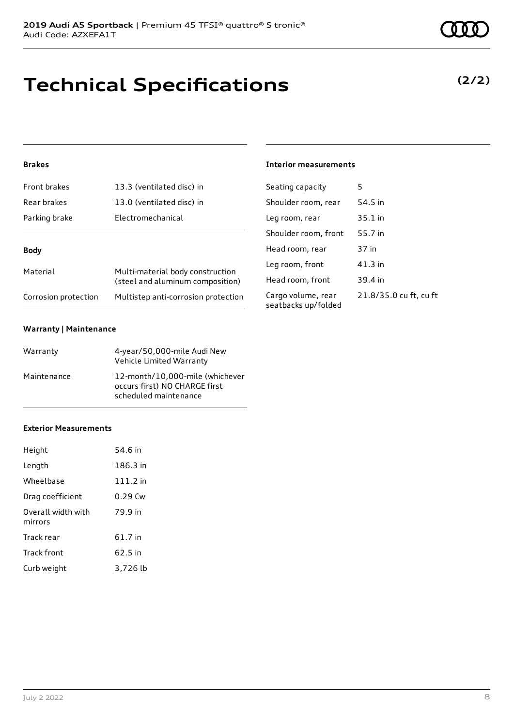# **Technical Specifications**

### **Brakes**

| Front brakes         | 13.3 (ventilated disc) in                                            |  |
|----------------------|----------------------------------------------------------------------|--|
| Rear brakes          | 13.0 (ventilated disc) in                                            |  |
| Parking brake        | Electromechanical                                                    |  |
| Body                 |                                                                      |  |
|                      |                                                                      |  |
| Material             | Multi-material body construction<br>(steel and aluminum composition) |  |
| Corrosion protection | Multistep anti-corrosion protection                                  |  |

### **Warranty | Maintenance**

| Warranty    | 4-year/50,000-mile Audi New<br>Vehicle Limited Warranty                                   |
|-------------|-------------------------------------------------------------------------------------------|
| Maintenance | 12-month/10,000-mile (whichever<br>occurs first) NO CHARGE first<br>scheduled maintenance |

### **Exterior Measurements**

| Height                        | 54.6 in    |
|-------------------------------|------------|
| Length                        | 186.3 in   |
| Wheelbase                     | $111.2$ in |
| Drag coefficient              | 0.29 Cw    |
| Overall width with<br>mirrors | 79.9 in    |
| Track rear                    | 61.7 in    |
| Track front                   | 62.5 in    |
| Curb weight                   | 3,726 lb   |

### **Interior measurements**

| Seating capacity                          | 5                      |
|-------------------------------------------|------------------------|
| Shoulder room, rear                       | 54.5 in                |
| Leg room, rear                            | $35.1$ in              |
| Shoulder room, front                      | 55.7 in                |
| Head room, rear                           | 37 in                  |
| Leg room, front                           | $41.3$ in              |
| Head room, front                          | 39.4 in                |
| Cargo volume, rear<br>seatbacks up/folded | 21.8/35.0 cu ft, cu ft |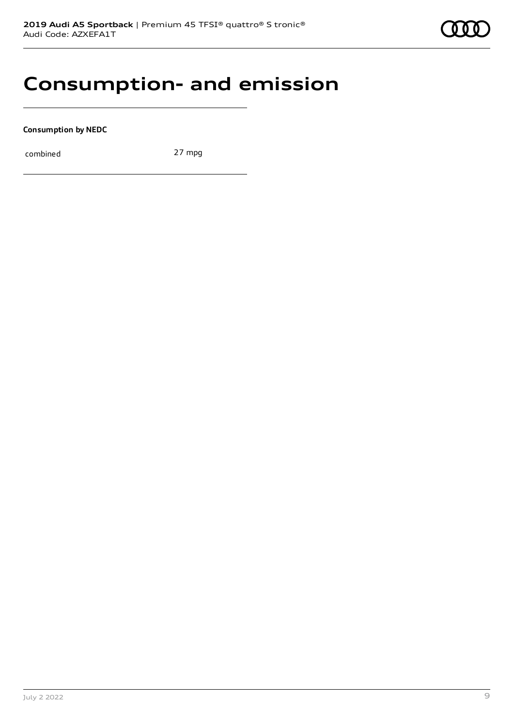## **Consumption- and emission**

**Consumption by NEDC**

combined 27 mpg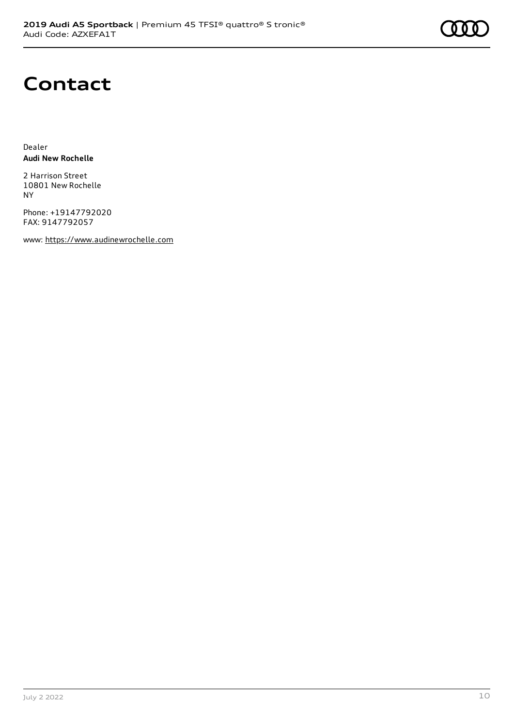

### **Contact**

Dealer **Audi New Rochelle**

2 Harrison Street 10801 New Rochelle NY

Phone: +19147792020 FAX: 9147792057

www: [https://www.audinewrochelle.com](https://www.audinewrochelle.com/)